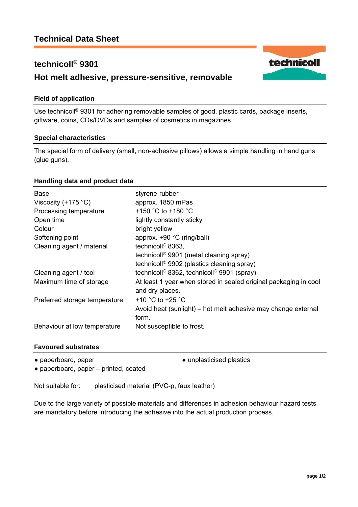# **technicoll® 9301**

## **Hot melt adhesive, pressure-sensitive, removable**

### **Field of application**

Use technicoll® 9301 for adhering removable samples of good, plastic cards, package inserts, giftware, coins, CDs/DVDs and samples of cosmetics in magazines.

#### **Special characteristics**

The special form of delivery (small, non-adhesive pillows) allows a simple handling in hand guns (glue guns).

### **Handling data and product data**

| <b>Base</b>                   | styrene-rubber                                                                      |
|-------------------------------|-------------------------------------------------------------------------------------|
| Viscosity $(+175 \degree C)$  | approx. 1850 mPas                                                                   |
| Processing temperature        | +150 °C to +180 °C                                                                  |
| Open time                     | lightly constantly sticky                                                           |
| Colour                        | bright yellow                                                                       |
| Softening point               | approx. +90 °C (ring/ball)                                                          |
| Cleaning agent / material     | technicoll <sup>®</sup> 8363,                                                       |
|                               | technicoll <sup>®</sup> 9901 (metal cleaning spray)                                 |
|                               | technicoll <sup>®</sup> 9902 (plastics cleaning spray)                              |
| Cleaning agent / tool         | technicoll <sup>®</sup> 8362, technicoll <sup>®</sup> 9901 (spray)                  |
| Maximum time of storage       | At least 1 year when stored in sealed original packaging in cool<br>and dry places. |
| Preferred storage temperature | +10 $^{\circ}$ C to +25 $^{\circ}$ C                                                |
|                               | Avoid heat (sunlight) – hot melt adhesive may change external<br>form.              |
| Behaviour at low temperature  | Not susceptible to frost.                                                           |

#### **Favoured substrates**

• paperboard, paper <br>
• unplasticised plastics

● paperboard, paper – printed, coated

Not suitable for: plasticised material (PVC-p, faux leather)

Due to the large variety of possible materials and differences in adhesion behaviour hazard tests are mandatory before introducing the adhesive into the actual production process.

technicoll